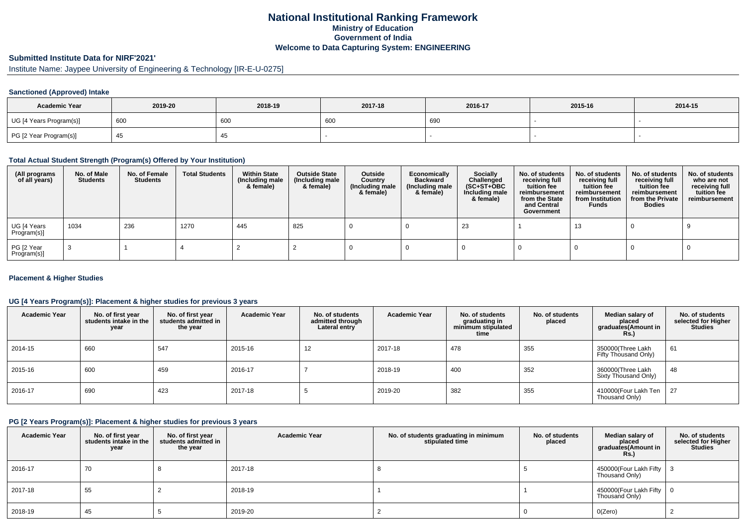## **National Institutional Ranking FrameworkMinistry of Education Government of IndiaWelcome to Data Capturing System: ENGINEERING**

## **Submitted Institute Data for NIRF'2021'**

# Institute Name: Jaypee University of Engineering & Technology [IR-E-U-0275]

#### **Sanctioned (Approved) Intake**

| <b>Academic Year</b>    | 2019-20 | 2018-19 | 2017-18 | 2016-17 | 2015-16 | 2014-15 |
|-------------------------|---------|---------|---------|---------|---------|---------|
| UG [4 Years Program(s)] | 600     | 600     | 600     | 690     |         |         |
| PG [2 Year Program(s)]  |         | +ບ      |         |         |         |         |

### **Total Actual Student Strength (Program(s) Offered by Your Institution)**

| (All programs<br>of all years) | No. of Male<br><b>Students</b> | No. of Female<br>Students | <b>Total Students</b> | <b>Within State</b><br>(Including male<br>& female) | <b>Outside State</b><br>(Including male<br>& female) | Outside<br>Country<br>(Including male<br>& female) | Economically<br>Backward<br>(Including male<br>& female) | <b>Socially</b><br>Challenged<br>$(SC+ST+OBC)$<br>Including male<br>& female) | No. of students<br>receiving full<br>tuition fee<br>reimbursement<br>from the State<br>and Central<br>Government | No. of students<br>receiving full<br>tuition fee<br>reimbursement<br>from Institution<br><b>Funds</b> | No. of students<br>receiving full<br>tuition fee<br>reimbursement<br>from the Private<br><b>Bodies</b> | No. of students<br>who are not<br>receiving full<br>tuition fee<br>reimbursement |
|--------------------------------|--------------------------------|---------------------------|-----------------------|-----------------------------------------------------|------------------------------------------------------|----------------------------------------------------|----------------------------------------------------------|-------------------------------------------------------------------------------|------------------------------------------------------------------------------------------------------------------|-------------------------------------------------------------------------------------------------------|--------------------------------------------------------------------------------------------------------|----------------------------------------------------------------------------------|
| UG [4 Years<br>Program(s)]     | 1034                           | 236                       | 1270                  | 445                                                 | 825                                                  |                                                    |                                                          | 23                                                                            |                                                                                                                  | 13                                                                                                    |                                                                                                        |                                                                                  |
| PG [2 Year<br>Program(s)]      |                                |                           |                       |                                                     |                                                      |                                                    |                                                          |                                                                               |                                                                                                                  |                                                                                                       |                                                                                                        |                                                                                  |

#### **Placement & Higher Studies**

#### **UG [4 Years Program(s)]: Placement & higher studies for previous 3 years**

| <b>Academic Year</b> | No. of first year<br>students intake in the<br>year | No. of first year<br>students admitted in<br>the year | <b>Academic Year</b> | No. of students<br>admitted through<br>Lateral entry | <b>Academic Year</b> | No. of students<br>graduating in<br>minimum stipulated<br>time | No. of students<br>placed | Median salary of<br>placed<br>graduates(Amount in<br>Rs.) | No. of students<br>selected for Higher<br><b>Studies</b> |
|----------------------|-----------------------------------------------------|-------------------------------------------------------|----------------------|------------------------------------------------------|----------------------|----------------------------------------------------------------|---------------------------|-----------------------------------------------------------|----------------------------------------------------------|
| 2014-15              | 660                                                 | 547                                                   | 2015-16              | 12                                                   | 2017-18              | 478                                                            | 355                       | 350000(Three Lakh<br>Fifty Thousand Only)                 | 61                                                       |
| 2015-16              | 600                                                 | 459                                                   | 2016-17              |                                                      | 2018-19              | 400                                                            | 352                       | 360000(Three Lakh<br>Sixty Thousand Only)                 | 48                                                       |
| 2016-17              | 690                                                 | 423                                                   | 2017-18              |                                                      | 2019-20              | 382                                                            | 355                       | 410000(Four Lakh Ten<br>Thousand Only)                    | 27                                                       |

#### **PG [2 Years Program(s)]: Placement & higher studies for previous 3 years**

| <b>Academic Year</b> | No. of first year<br>students intake in the<br>year | No. of first year<br>students admitted in<br>the year | <b>Academic Year</b> | No. of students graduating in minimum<br>stipulated time | No. of students<br>placed | Median salary of<br>placed<br>graduates(Amount in<br>Rs. | No. of students<br>selected for Higher<br><b>Studies</b> |
|----------------------|-----------------------------------------------------|-------------------------------------------------------|----------------------|----------------------------------------------------------|---------------------------|----------------------------------------------------------|----------------------------------------------------------|
| 2016-17              | 70                                                  |                                                       | 2017-18              |                                                          |                           | 450000 (Four Lakh Fifty $\vert$ 3<br>Thousand Only)      |                                                          |
| 2017-18              | 55                                                  |                                                       | 2018-19              |                                                          |                           | 450000(Four Lakh Fifty   0<br>Thousand Only)             |                                                          |
| 2018-19              | 45                                                  |                                                       | 2019-20              |                                                          |                           | 0(Zero)                                                  |                                                          |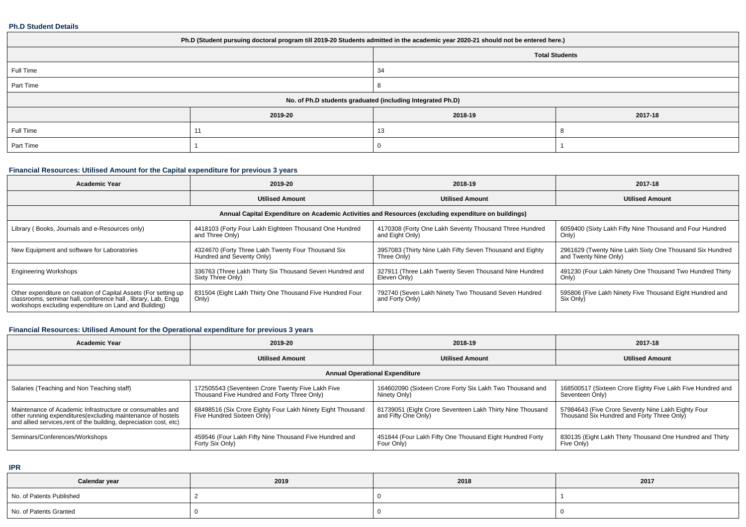#### **Ph.D Student Details**

| Ph.D (Student pursuing doctoral program till 2019-20 Students admitted in the academic year 2020-21 should not be entered here.) |         |                                                            |         |  |  |  |  |
|----------------------------------------------------------------------------------------------------------------------------------|---------|------------------------------------------------------------|---------|--|--|--|--|
| <b>Total Students</b>                                                                                                            |         |                                                            |         |  |  |  |  |
| Full Time                                                                                                                        |         | 34                                                         |         |  |  |  |  |
| Part Time                                                                                                                        |         |                                                            |         |  |  |  |  |
|                                                                                                                                  |         | No. of Ph.D students graduated (including Integrated Ph.D) |         |  |  |  |  |
|                                                                                                                                  | 2019-20 | 2018-19                                                    | 2017-18 |  |  |  |  |
| Full Time                                                                                                                        | 11      | 13                                                         |         |  |  |  |  |
| Part Time                                                                                                                        |         |                                                            |         |  |  |  |  |

### **Financial Resources: Utilised Amount for the Capital expenditure for previous 3 years**

| <b>Academic Year</b>                                                                                                                                                                      | 2019-20                                                                                              | 2018-19                                                                   | 2017-18                                                                           |  |  |  |  |  |  |  |
|-------------------------------------------------------------------------------------------------------------------------------------------------------------------------------------------|------------------------------------------------------------------------------------------------------|---------------------------------------------------------------------------|-----------------------------------------------------------------------------------|--|--|--|--|--|--|--|
|                                                                                                                                                                                           | <b>Utilised Amount</b>                                                                               | <b>Utilised Amount</b>                                                    | <b>Utilised Amount</b>                                                            |  |  |  |  |  |  |  |
|                                                                                                                                                                                           | Annual Capital Expenditure on Academic Activities and Resources (excluding expenditure on buildings) |                                                                           |                                                                                   |  |  |  |  |  |  |  |
| Library (Books, Journals and e-Resources only)                                                                                                                                            | 4418103 (Forty Four Lakh Eighteen Thousand One Hundred<br>and Three Only)                            | 4170308 (Forty One Lakh Seventy Thousand Three Hundred<br>and Eight Only) | 6059400 (Sixty Lakh Fifty Nine Thousand and Four Hundred<br>Only)                 |  |  |  |  |  |  |  |
| New Equipment and software for Laboratories                                                                                                                                               | 4324670 (Forty Three Lakh Twenty Four Thousand Six<br>Hundred and Seventy Only)                      | 3957083 (Thirty Nine Lakh Fifty Seven Thousand and Eighty<br>Three Only)  | 2961629 (Twenty Nine Lakh Sixty One Thousand Six Hundred<br>and Twenty Nine Only) |  |  |  |  |  |  |  |
| <b>Engineering Workshops</b>                                                                                                                                                              | 336763 (Three Lakh Thirty Six Thousand Seven Hundred and<br>Sixty Three Only)                        | 327911 (Three Lakh Twenty Seven Thousand Nine Hundred<br>Eleven Only)     | 491230 (Four Lakh Ninety One Thousand Two Hundred Thirty<br>Only)                 |  |  |  |  |  |  |  |
| Other expenditure on creation of Capital Assets (For setting up<br>classrooms, seminar hall, conference hall, library, Lab, Engq<br>workshops excluding expenditure on Land and Building) | 831504 (Eight Lakh Thirty One Thousand Five Hundred Four<br>Only)                                    | 792740 (Seven Lakh Ninety Two Thousand Seven Hundred<br>and Forty Only)   | 595806 (Five Lakh Ninety Five Thousand Eight Hundred and<br>Six Only)             |  |  |  |  |  |  |  |

### **Financial Resources: Utilised Amount for the Operational expenditure for previous 3 years**

| Academic Year                                                                                                                      | 2019-20                                                    | 2018-19                                                   | 2017-18                                                                                          |  |  |  |  |  |  |
|------------------------------------------------------------------------------------------------------------------------------------|------------------------------------------------------------|-----------------------------------------------------------|--------------------------------------------------------------------------------------------------|--|--|--|--|--|--|
|                                                                                                                                    | <b>Utilised Amount</b>                                     | <b>Utilised Amount</b>                                    | <b>Utilised Amount</b>                                                                           |  |  |  |  |  |  |
| <b>Annual Operational Expenditure</b>                                                                                              |                                                            |                                                           |                                                                                                  |  |  |  |  |  |  |
| Salaries (Teaching and Non Teaching staff)                                                                                         | 172505543 (Seventeen Crore Twenty Five Lakh Five           | 164602090 (Sixteen Crore Forty Six Lakh Two Thousand and  | 168500517 (Sixteen Crore Eighty Five Lakh Five Hundred and                                       |  |  |  |  |  |  |
|                                                                                                                                    | Thousand Five Hundred and Forty Three Only)                | Ninety Only)                                              | Seventeen Only)                                                                                  |  |  |  |  |  |  |
| Maintenance of Academic Infrastructure or consumables and                                                                          | 68498516 (Six Crore Eighty Four Lakh Ninety Eight Thousand | 81739051 (Eight Crore Seventeen Lakh Thirty Nine Thousand | 57984643 (Five Crore Seventy Nine Lakh Eighty Four<br>Thousand Six Hundred and Forty Three Only) |  |  |  |  |  |  |
| other running expenditures (excluding maintenance of hostels<br>and allied services, rent of the building, depreciation cost, etc) | Five Hundred Sixteen Only)                                 | and Fifty One Only)                                       |                                                                                                  |  |  |  |  |  |  |
| Seminars/Conferences/Workshops                                                                                                     | 459546 (Four Lakh Fifty Nine Thousand Five Hundred and     | 451844 (Four Lakh Fifty One Thousand Eight Hundred Forty  | 830135 (Eight Lakh Thirty Thousand One Hundred and Thirty                                        |  |  |  |  |  |  |
|                                                                                                                                    | Forty Six Only)                                            | Four Only)                                                | Five Only)                                                                                       |  |  |  |  |  |  |

**IPR**

| Calendar year            | 2019 | 2018 | 2017 |
|--------------------------|------|------|------|
| No. of Patents Published |      |      |      |
| No. of Patents Granted   |      |      |      |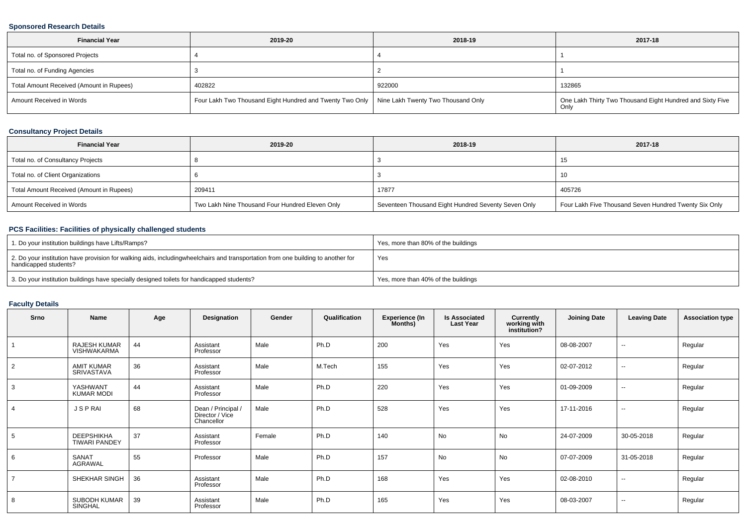### **Sponsored Research Details**

| <b>Financial Year</b>                    | 2019-20                                                                                       | 2018-19 | 2017-18                                                   |
|------------------------------------------|-----------------------------------------------------------------------------------------------|---------|-----------------------------------------------------------|
| Total no. of Sponsored Projects          |                                                                                               |         |                                                           |
| Total no. of Funding Agencies            |                                                                                               |         |                                                           |
| Total Amount Received (Amount in Rupees) | 402822                                                                                        | 922000  | 132865                                                    |
| Amount Received in Words                 | Four Lakh Two Thousand Eight Hundred and Twenty Two Only   Nine Lakh Twenty Two Thousand Only |         | One Lakh Thirty Two Thousand Eight Hundred and Sixty Five |

### **Consultancy Project Details**

| <b>Financial Year</b>                    | 2019-20                                         | 2018-19                                             | 2017-18                                               |
|------------------------------------------|-------------------------------------------------|-----------------------------------------------------|-------------------------------------------------------|
| Total no. of Consultancy Projects        |                                                 |                                                     | 15                                                    |
| Total no. of Client Organizations        |                                                 |                                                     | 10                                                    |
| Total Amount Received (Amount in Rupees) | 209411                                          | 17877                                               | 405726                                                |
| Amount Received in Words                 | Two Lakh Nine Thousand Four Hundred Eleven Only | Seventeen Thousand Eight Hundred Seventy Seven Only | Four Lakh Five Thousand Seven Hundred Twenty Six Only |

### **PCS Facilities: Facilities of physically challenged students**

| 1. Do your institution buildings have Lifts/Ramps?                                                                                                        | Yes, more than 80% of the buildings |
|-----------------------------------------------------------------------------------------------------------------------------------------------------------|-------------------------------------|
| 2. Do your institution have provision for walking aids, includingwheelchairs and transportation from one building to another for<br>handicapped students? | Yes                                 |
| 3. Do your institution buildings have specially designed toilets for handicapped students?                                                                | Yes, more than 40% of the buildings |

### **Faculty Details**

| Srno           | <b>Name</b>                               | Age | Designation                                         | Gender | Qualification | <b>Experience (In</b><br>Months) | <b>Is Associated</b><br><b>Last Year</b> | Currently<br>working with<br>institution? | <b>Joining Date</b> | <b>Leaving Date</b>      | <b>Association type</b> |
|----------------|-------------------------------------------|-----|-----------------------------------------------------|--------|---------------|----------------------------------|------------------------------------------|-------------------------------------------|---------------------|--------------------------|-------------------------|
|                | RAJESH KUMAR<br>VISHWAKARMA               | 44  | Assistant<br>Professor                              | Male   | Ph.D          | 200                              | Yes                                      | Yes                                       | 08-08-2007          | $\sim$                   | Regular                 |
| 2              | <b>AMIT KUMAR</b><br>SRIVASTAVA           | 36  | Assistant<br>Professor                              | Male   | M.Tech        | 155                              | Yes                                      | Yes                                       | 02-07-2012          | $\sim$                   | Regular                 |
| 3              | YASHWANT<br><b>KUMAR MODI</b>             | 44  | Assistant<br>Professor                              | Male   | Ph.D          | 220                              | Yes                                      | Yes                                       | 01-09-2009          | $\overline{\phantom{a}}$ | Regular                 |
| $\overline{4}$ | <b>JSPRAI</b>                             | 68  | Dean / Principal /<br>Director / Vice<br>Chancellor | Male   | Ph.D          | 528                              | Yes                                      | Yes                                       | 17-11-2016          | $\overline{\phantom{a}}$ | Regular                 |
| 5              | <b>DEEPSHIKHA</b><br><b>TIWARI PANDEY</b> | 37  | Assistant<br>Professor                              | Female | Ph.D          | 140                              | <b>No</b>                                | No                                        | 24-07-2009          | 30-05-2018               | Regular                 |
| 6              | SANAT<br>AGRAWAL                          | 55  | Professor                                           | Male   | Ph.D          | 157                              | No                                       | No                                        | 07-07-2009          | 31-05-2018               | Regular                 |
| $\overline{7}$ | SHEKHAR SINGH                             | 36  | Assistant<br>Professor                              | Male   | Ph.D          | 168                              | Yes                                      | Yes                                       | 02-08-2010          | $\sim$                   | Regular                 |
| 8              | <b>SUBODH KUMAR</b><br>SINGHAL            | 39  | Assistant<br>Professor                              | Male   | Ph.D          | 165                              | Yes                                      | Yes                                       | 08-03-2007          | $\sim$                   | Regular                 |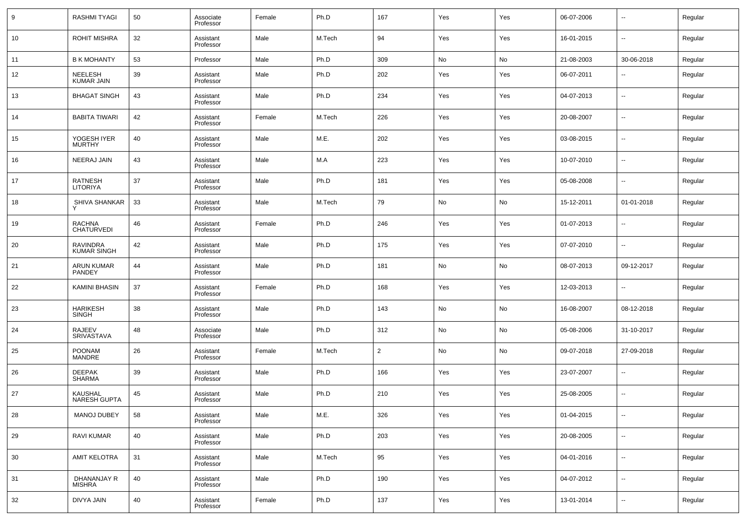| 9  | <b>RASHMI TYAGI</b>                   | 50 | Associate<br>Professor | Female | Ph.D   | 167            | Yes | Yes | 06-07-2006 | $\overline{\phantom{a}}$ | Regular |
|----|---------------------------------------|----|------------------------|--------|--------|----------------|-----|-----|------------|--------------------------|---------|
| 10 | <b>ROHIT MISHRA</b>                   | 32 | Assistant<br>Professor | Male   | M.Tech | 94             | Yes | Yes | 16-01-2015 | --                       | Regular |
| 11 | <b>B K MOHANTY</b>                    | 53 | Professor              | Male   | Ph.D   | 309            | No  | No  | 21-08-2003 | 30-06-2018               | Regular |
| 12 | NEELESH<br>KUMAR JAIN                 | 39 | Assistant<br>Professor | Male   | Ph.D   | 202            | Yes | Yes | 06-07-2011 | $\overline{\phantom{a}}$ | Regular |
| 13 | <b>BHAGAT SINGH</b>                   | 43 | Assistant<br>Professor | Male   | Ph.D   | 234            | Yes | Yes | 04-07-2013 | $\overline{\phantom{a}}$ | Regular |
| 14 | <b>BABITA TIWARI</b>                  | 42 | Assistant<br>Professor | Female | M.Tech | 226            | Yes | Yes | 20-08-2007 | $\overline{\phantom{a}}$ | Regular |
| 15 | YOGESH IYER<br><b>MURTHY</b>          | 40 | Assistant<br>Professor | Male   | M.E.   | 202            | Yes | Yes | 03-08-2015 | $\overline{\phantom{a}}$ | Regular |
| 16 | NEERAJ JAIN                           | 43 | Assistant<br>Professor | Male   | M.A    | 223            | Yes | Yes | 10-07-2010 | $\overline{\phantom{a}}$ | Regular |
| 17 | <b>RATNESH</b><br><b>LITORIYA</b>     | 37 | Assistant<br>Professor | Male   | Ph.D   | 181            | Yes | Yes | 05-08-2008 | $\overline{\phantom{a}}$ | Regular |
| 18 | SHIVA SHANKAR                         | 33 | Assistant<br>Professor | Male   | M.Tech | 79             | No  | No  | 15-12-2011 | 01-01-2018               | Regular |
| 19 | <b>RACHNA</b><br><b>CHATURVEDI</b>    | 46 | Assistant<br>Professor | Female | Ph.D   | 246            | Yes | Yes | 01-07-2013 | $\overline{\phantom{a}}$ | Regular |
| 20 | <b>RAVINDRA</b><br><b>KUMAR SINGH</b> | 42 | Assistant<br>Professor | Male   | Ph.D   | 175            | Yes | Yes | 07-07-2010 | $\overline{\phantom{a}}$ | Regular |
| 21 | <b>ARUN KUMAR</b><br><b>PANDEY</b>    | 44 | Assistant<br>Professor | Male   | Ph.D   | 181            | No  | No  | 08-07-2013 | 09-12-2017               | Regular |
| 22 | KAMINI BHASIN                         | 37 | Assistant<br>Professor | Female | Ph.D   | 168            | Yes | Yes | 12-03-2013 | $\overline{\phantom{a}}$ | Regular |
| 23 | <b>HARIKESH</b><br><b>SINGH</b>       | 38 | Assistant<br>Professor | Male   | Ph.D   | 143            | No  | No  | 16-08-2007 | 08-12-2018               | Regular |
| 24 | <b>RAJEEV</b><br>SRIVASTAVA           | 48 | Associate<br>Professor | Male   | Ph.D   | 312            | No  | No  | 05-08-2006 | 31-10-2017               | Regular |
| 25 | <b>POONAM</b><br>MANDRE               | 26 | Assistant<br>Professor | Female | M.Tech | $\overline{2}$ | No  | No  | 09-07-2018 | 27-09-2018               | Regular |
| 26 | <b>DEEPAK</b><br><b>SHARMA</b>        | 39 | Assistant<br>Professor | Male   | Ph.D   | 166            | Yes | Yes | 23-07-2007 | $\overline{\phantom{a}}$ | Regular |
| 27 | <b>KAUSHAL</b><br><b>NARESH GUPTA</b> | 45 | Assistant<br>Professor | Male   | Ph.D   | 210            | Yes | Yes | 25-08-2005 | $\overline{\phantom{a}}$ | Regular |
| 28 | <b>MANOJ DUBEY</b>                    | 58 | Assistant<br>Professor | Male   | M.E.   | 326            | Yes | Yes | 01-04-2015 | ۰.                       | Regular |
| 29 | <b>RAVI KUMAR</b>                     | 40 | Assistant<br>Professor | Male   | Ph.D   | 203            | Yes | Yes | 20-08-2005 | $\overline{\phantom{a}}$ | Regular |
| 30 | <b>AMIT KELOTRA</b>                   | 31 | Assistant<br>Professor | Male   | M.Tech | 95             | Yes | Yes | 04-01-2016 | ۰.                       | Regular |
| 31 | DHANANJAY R<br><b>MISHRA</b>          | 40 | Assistant<br>Professor | Male   | Ph.D   | 190            | Yes | Yes | 04-07-2012 | ۰.                       | Regular |
| 32 | DIVYA JAIN                            | 40 | Assistant<br>Professor | Female | Ph.D   | 137            | Yes | Yes | 13-01-2014 | $\overline{\phantom{a}}$ | Regular |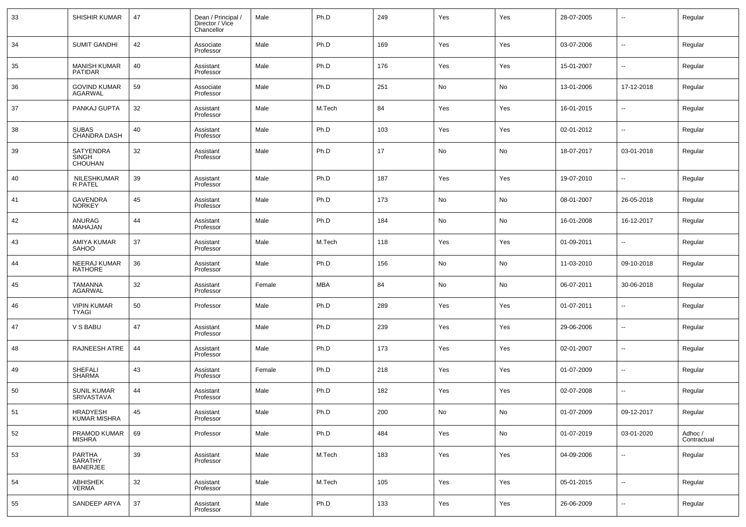| 33 | SHISHIR KUMAR                               | 47 | Dean / Principal /<br>Director / Vice<br>Chancellor | Male   | Ph.D   | 249 | Yes | Yes | 28-07-2005 | --         | Regular                |
|----|---------------------------------------------|----|-----------------------------------------------------|--------|--------|-----|-----|-----|------------|------------|------------------------|
| 34 | <b>SUMIT GANDHI</b>                         | 42 | Associate<br>Professor                              | Male   | Ph.D   | 169 | Yes | Yes | 03-07-2006 | --         | Regular                |
| 35 | <b>MANISH KUMAR</b><br>PATIDAR              | 40 | Assistant<br>Professor                              | Male   | Ph.D   | 176 | Yes | Yes | 15-01-2007 | --         | Regular                |
| 36 | <b>GOVIND KUMAR</b><br>AGARWAL              | 59 | Associate<br>Professor                              | Male   | Ph.D   | 251 | No  | No  | 13-01-2006 | 17-12-2018 | Regular                |
| 37 | PANKAJ GUPTA                                | 32 | Assistant<br>Professor                              | Male   | M.Tech | 84  | Yes | Yes | 16-01-2015 | --         | Regular                |
| 38 | <b>SUBAS</b><br><b>CHANDRA DASH</b>         | 40 | Assistant<br>Professor                              | Male   | Ph.D   | 103 | Yes | Yes | 02-01-2012 | --         | Regular                |
| 39 | <b>SATYENDRA</b><br><b>SINGH</b><br>CHOUHAN | 32 | Assistant<br>Professor                              | Male   | Ph.D   | 17  | No  | No  | 18-07-2017 | 03-01-2018 | Regular                |
| 40 | NILESHKUMAR<br><b>R PATEL</b>               | 39 | Assistant<br>Professor                              | Male   | Ph.D   | 187 | Yes | Yes | 19-07-2010 | --         | Regular                |
| 41 | <b>GAVENDRA</b><br><b>NORKEY</b>            | 45 | Assistant<br>Professor                              | Male   | Ph.D   | 173 | No  | No  | 08-01-2007 | 26-05-2018 | Regular                |
| 42 | ANURAG<br><b>MAHAJAN</b>                    | 44 | Assistant<br>Professor                              | Male   | Ph.D   | 184 | No  | No  | 16-01-2008 | 16-12-2017 | Regular                |
| 43 | AMIYA KUMAR<br><b>SAHOO</b>                 | 37 | Assistant<br>Professor                              | Male   | M.Tech | 118 | Yes | Yes | 01-09-2011 | --         | Regular                |
| 44 | NEERAJ KUMAR<br>RATHORE                     | 36 | Assistant<br>Professor                              | Male   | Ph.D   | 156 | No  | No  | 11-03-2010 | 09-10-2018 | Regular                |
| 45 | TAMANNA<br><b>AGARWAL</b>                   | 32 | Assistant<br>Professor                              | Female | MBA    | 84  | No  | No  | 06-07-2011 | 30-06-2018 | Regular                |
| 46 | <b>VIPIN KUMAR</b><br><b>TYAGI</b>          | 50 | Professor                                           | Male   | Ph.D   | 289 | Yes | Yes | 01-07-2011 | --         | Regular                |
| 47 | V S BABU                                    | 47 | Assistant<br>Professor                              | Male   | Ph.D   | 239 | Yes | Yes | 29-06-2006 | --         | Regular                |
| 48 | RAJNEESH ATRE                               | 44 | Assistant<br>Professor                              | Male   | Ph.D   | 173 | Yes | Yes | 02-01-2007 | --         | Regular                |
| 49 | <b>SHEFALI</b><br><b>SHARMA</b>             | 43 | Assistant<br>Professor                              | Female | Ph.D   | 218 | Yes | Yes | 01-07-2009 | --         | Regular                |
| 50 | <b>SUNIL KUMAR</b><br>SRIVASTAVA            | 44 | Assistant<br>Professor                              | Male   | Ph.D   | 182 | Yes | Yes | 02-07-2008 | --         | Regular                |
| 51 | HRADYESH<br>KUMAR MISHRA                    | 45 | Assistant<br>Professor                              | Male   | Ph.D   | 200 | No  | No  | 01-07-2009 | 09-12-2017 | Regular                |
| 52 | PRAMOD KUMAR<br><b>MISHRA</b>               | 69 | Professor                                           | Male   | Ph.D   | 484 | Yes | No  | 01-07-2019 | 03-01-2020 | Adhoc /<br>Contractual |
| 53 | PARTHA<br>SARATHY<br><b>BANERJEE</b>        | 39 | Assistant<br>Professor                              | Male   | M.Tech | 183 | Yes | Yes | 04-09-2006 | $\sim$     | Regular                |
| 54 | ABHISHEK<br><b>VERMA</b>                    | 32 | Assistant<br>Professor                              | Male   | M.Tech | 105 | Yes | Yes | 05-01-2015 | н.         | Regular                |
| 55 | SANDEEP ARYA                                | 37 | Assistant<br>Professor                              | Male   | Ph.D   | 133 | Yes | Yes | 26-06-2009 | ш,         | Regular                |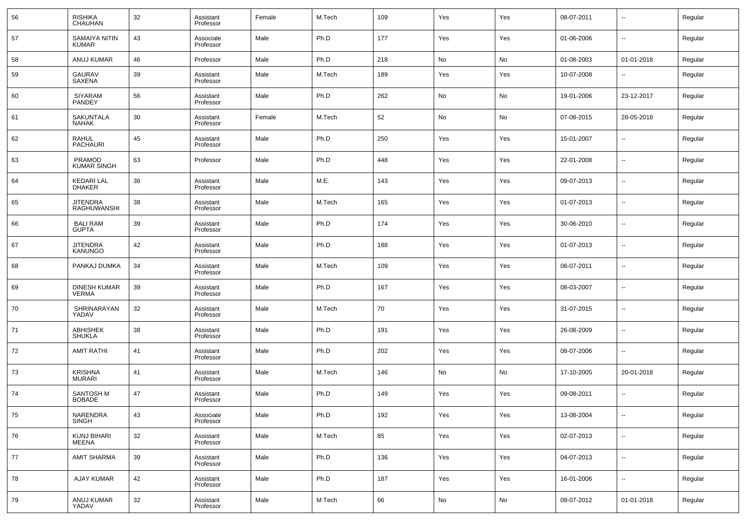| 56 | RISHIKA<br>CHAUHAN                  | 32 | Assistant<br>Professor | Female | M.Tech | 109 | Yes | Yes | 08-07-2011 | $\overline{\phantom{a}}$ | Regular |
|----|-------------------------------------|----|------------------------|--------|--------|-----|-----|-----|------------|--------------------------|---------|
| 57 | SAMAIYA NITIN<br><b>KUMAR</b>       | 43 | Associate<br>Professor | Male   | Ph.D   | 177 | Yes | Yes | 01-06-2006 | --                       | Regular |
| 58 | ANUJ KUMAR                          | 46 | Professor              | Male   | Ph.D   | 218 | No  | No  | 01-08-2003 | 01-01-2018               | Regular |
| 59 | <b>GAURAV</b><br>SAXENA             | 39 | Assistant<br>Professor | Male   | M.Tech | 189 | Yes | Yes | 10-07-2008 | $\overline{\phantom{a}}$ | Regular |
| 60 | SIYARAM<br>PANDEY                   | 56 | Assistant<br>Professor | Male   | Ph.D   | 262 | No  | No  | 19-01-2006 | 23-12-2017               | Regular |
| 61 | SAKUNTALA<br>NAHAK                  | 30 | Assistant<br>Professor | Female | M.Tech | 52  | No  | No  | 07-08-2015 | 28-05-2018               | Regular |
| 62 | RAHUL<br><b>PACHAURI</b>            | 45 | Assistant<br>Professor | Male   | Ph.D   | 250 | Yes | Yes | 15-01-2007 | $\overline{\phantom{a}}$ | Regular |
| 63 | PRAMOD<br>KUMAR SINGH               | 63 | Professor              | Male   | Ph.D   | 448 | Yes | Yes | 22-01-2008 | $\overline{\phantom{a}}$ | Regular |
| 64 | <b>KEDARI LAL</b><br><b>DHAKER</b>  | 36 | Assistant<br>Professor | Male   | M.E.   | 143 | Yes | Yes | 09-07-2013 | $\overline{\phantom{a}}$ | Regular |
| 65 | JITENDRA<br><b>RAGHUWANSHI</b>      | 38 | Assistant<br>Professor | Male   | M.Tech | 165 | Yes | Yes | 01-07-2013 | $\overline{\phantom{a}}$ | Regular |
| 66 | <b>BALI RAM</b><br><b>GUPTA</b>     | 39 | Assistant<br>Professor | Male   | Ph.D   | 174 | Yes | Yes | 30-06-2010 | $\overline{\phantom{a}}$ | Regular |
| 67 | <b>JITENDRA</b><br><b>KANUNGO</b>   | 42 | Assistant<br>Professor | Male   | Ph.D   | 188 | Yes | Yes | 01-07-2013 | $\overline{\phantom{a}}$ | Regular |
| 68 | PANKAJ DUMKA                        | 34 | Assistant<br>Professor | Male   | M.Tech | 109 | Yes | Yes | 08-07-2011 | $\overline{\phantom{a}}$ | Regular |
| 69 | <b>DINESH KUMAR</b><br><b>VERMA</b> | 39 | Assistant<br>Professor | Male   | Ph.D   | 167 | Yes | Yes | 08-03-2007 | $\overline{\phantom{a}}$ | Regular |
| 70 | SHRINARAYAN<br>YADAV                | 32 | Assistant<br>Professor | Male   | M.Tech | 70  | Yes | Yes | 31-07-2015 | $\overline{\phantom{a}}$ | Regular |
| 71 | ABHISHEK<br><b>SHUKLA</b>           | 38 | Assistant<br>Professor | Male   | Ph.D   | 191 | Yes | Yes | 26-08-2009 | $\overline{\phantom{a}}$ | Regular |
| 72 | <b>AMIT RATHI</b>                   | 41 | Assistant<br>Professor | Male   | Ph.D   | 202 | Yes | Yes | 08-07-2006 | $\overline{\phantom{a}}$ | Regular |
| 73 | <b>KRISHNA</b><br><b>MURARI</b>     | 41 | Assistant<br>Professor | Male   | M.Tech | 146 | No  | No  | 17-10-2005 | 20-01-2018               | Regular |
| 74 | <b>SANTOSH M</b><br><b>BOBADE</b>   | 47 | Assistant<br>Professor | Male   | Ph.D   | 149 | Yes | Yes | 09-08-2011 | $\overline{\phantom{a}}$ | Regular |
| 75 | NARENDRA<br><b>SINGH</b>            | 43 | Associate<br>Professor | Male   | Ph.D   | 192 | Yes | Yes | 13-08-2004 | ۰.                       | Regular |
| 76 | KUNJ BIHARI<br><b>MEENA</b>         | 32 | Assistant<br>Professor | Male   | M.Tech | 85  | Yes | Yes | 02-07-2013 | $\overline{\phantom{a}}$ | Regular |
| 77 | <b>AMIT SHARMA</b>                  | 39 | Assistant<br>Professor | Male   | Ph.D   | 136 | Yes | Yes | 04-07-2013 | ۰.                       | Regular |
| 78 | <b>AJAY KUMAR</b>                   | 42 | Assistant<br>Professor | Male   | Ph.D   | 187 | Yes | Yes | 16-01-2006 | ۰.                       | Regular |
| 79 | ANUJ KUMAR<br>YADAV                 | 32 | Assistant<br>Professor | Male   | M.Tech | 66  | No  | No  | 09-07-2012 | 01-01-2018               | Regular |